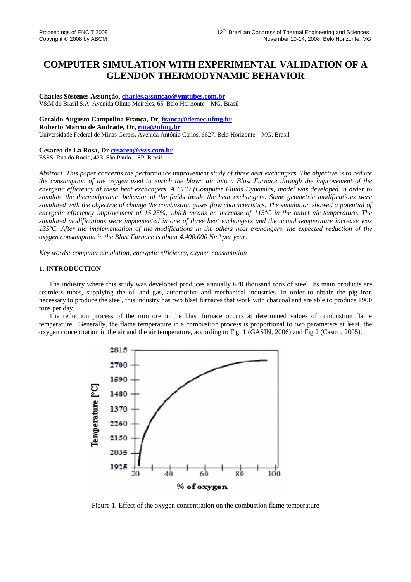# **COMPUTER SIMULATION WITH EXPERIMENTAL VALIDATION OF A GLENDON THERMODYNAMIC BEHAVIOR**

**Charles Sóstenes Assunção, charles.assuncao@vmtubes.com.br** V&M do Brasil S.A. Avenida Olinto Meireles, 65. Belo Horizonte – MG. Brasil

**Geraldo Augusto Campolina França, Dr, franca@demec.ufmg.br**

**Roberto Márcio de Andrade, Dr, rma@ufmg.br**

Universidade Federal de Minas Gerais**.** Avenida Antônio Carlos, 6627. Belo Horizonte – MG. Brasil

## **Cesareo de La Rosa, Dr cesareo@esss.com.br**

ESSS. Rua do Rocio, 423. São Paulo – SP. Brasil

*Abstract. This paper concerns the performance improvement study of three heat exchangers. The objective is to reduce the consumption of the oxygen used to enrich the blown air into a Blast Furnace through the improvement of the energetic efficiency of these heat exchangers. A CFD (Computer Fluids Dynamics) model was developed in order to simulate the thermodynamic behavior of the fluids inside the heat exchangers. Some geometric modifications were simulated with the objective of change the combustion gases flow characteristics. The simulation showed a potential of energetic efficiency improvement of 15,25%, which means an increase of 115ºC in the outlet air temperature. The simulated modifications were implemented in one of three heat exchangers and the actual temperature increase was 135ºC. After the implementation of the modifications in the others heat exchangers, the expected reduction of the oxygen consumption in the Blast Furnace is about 4.400.000 Nm³ per year.* 

*Key words: computer simulation, energetic efficiency, oxygen consumption* 

#### **1. INTRODUCTION**

The industry where this study was developed produces annually 670 thousand tons of steel. Its main products are seamless tubes, supplying the oil and gas, automotive and mechanical industries. In order to obtain the pig iron necessary to produce the steel, this industry has two blast furnaces that work with charcoal and are able to produce 1900 tons per day.

The reduction process of the iron ore in the blast furnace occurs at determined values of combustion flame temperature. Generally, the flame temperature in a combustion process is proportional to two parameters at least, the oxygen concentration in the air and the air temperature, according to Fig. 1 (GASIN, 2006) and Fig 2 (Castro, 2005).



Figure 1. Effect of the oxygen concentration on the combustion flame temperature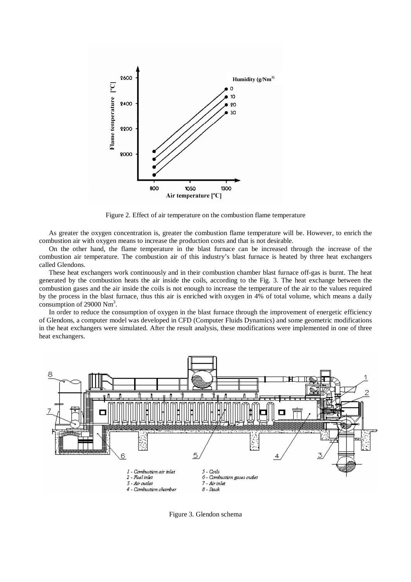

Figure 2. Effect of air temperature on the combustion flame temperature

As greater the oxygen concentration is, greater the combustion flame temperature will be. However, to enrich the combustion air with oxygen means to increase the production costs and that is not desirable.

On the other hand, the flame temperature in the blast furnace can be increased through the increase of the combustion air temperature. The combustion air of this industry's blast furnace is heated by three heat exchangers called Glendons.

These heat exchangers work continuously and in their combustion chamber blast furnace off-gas is burnt. The heat generated by the combustion heats the air inside the coils, according to the Fig. 3. The heat exchange between the combustion gases and the air inside the coils is not enough to increase the temperature of the air to the values required by the process in the blast furnace, thus this air is enriched with oxygen in 4% of total volume, which means a daily consumption of 29000 Nm<sup>3</sup> .

In order to reduce the consumption of oxygen in the blast furnace through the improvement of energetic efficiency of Glendons, a computer model was developed in CFD (Computer Fluids Dynamics) and some geometric modifications in the heat exchangers were simulated. After the result analysis, these modifications were implemented in one of three heat exchangers.



Figure 3. Glendon schema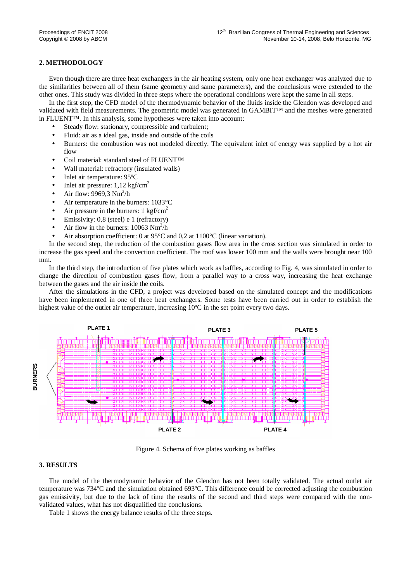### **2. METHODOLOGY**

Even though there are three heat exchangers in the air heating system, only one heat exchanger was analyzed due to the similarities between all of them (same geometry and same parameters), and the conclusions were extended to the other ones. This study was divided in three steps where the operational conditions were kept the same in all steps.

In the first step, the CFD model of the thermodynamic behavior of the fluids inside the Glendon was developed and validated with field measurements. The geometric model was generated in GAMBIT™ and the meshes were generated in FLUENT™. In this analysis, some hypotheses were taken into account:

- Steady flow: stationary, compressible and turbulent;
- Fluid: air as a ideal gas, inside and outside of the coils
- Burners: the combustion was not modeled directly. The equivalent inlet of energy was supplied by a hot air flow
- Coil material: standard steel of FLUENT™
- Wall material: refractory (insulated walls)
- Inlet air temperature: 95°C
- Inlet air pressure:  $1,12 \text{ kgf/cm}^2$
- Air flow: 9969,3  $Nm^3/h$
- Air temperature in the burners: 1033 °C
- Air pressure in the burners:  $1 \text{ kgf/cm}^2$
- Emissivity: 0,8 (steel) e 1 (refractory)
- Air flow in the burners:  $10063 \text{ Nm}^3/\text{h}$
- Air absorption coefficient: 0 at 95°C and 0,2 at 1100°C (linear variation).

In the second step, the reduction of the combustion gases flow area in the cross section was simulated in order to increase the gas speed and the convection coefficient. The roof was lower 100 mm and the walls were brought near 100 mm.

In the third step, the introduction of five plates which work as baffles, according to Fig. 4, was simulated in order to change the direction of combustion gases flow, from a parallel way to a cross way, increasing the heat exchange between the gases and the air inside the coils.

After the simulations in the CFD, a project was developed based on the simulated concept and the modifications have been implemented in one of three heat exchangers. Some tests have been carried out in order to establish the highest value of the outlet air temperature, increasing 10<sup>o</sup>C in the set point every two days.



Figure 4. Schema of five plates working as baffles

### **3. RESULTS**

The model of the thermodynamic behavior of the Glendon has not been totally validated. The actual outlet air temperature was 734ºC and the simulation obtained 693ºC. This difference could be corrected adjusting the combustion gas emissivity, but due to the lack of time the results of the second and third steps were compared with the nonvalidated values, what has not disqualified the conclusions.

Table 1 shows the energy balance results of the three steps.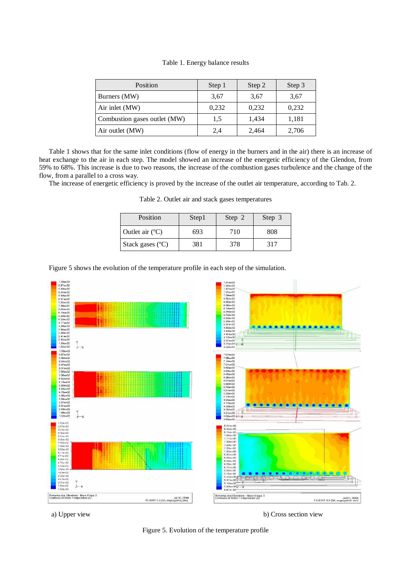|  | Table 1. Energy balance results |  |  |
|--|---------------------------------|--|--|
|--|---------------------------------|--|--|

| Position                     | Step 1 | Step 2 | Step 3 |
|------------------------------|--------|--------|--------|
| Burners (MW)                 | 3.67   | 3,67   | 3,67   |
| Air inlet (MW)               | 0,232  | 0,232  | 0.232  |
| Combustion gases outlet (MW) | 1,5    | 1,434  | 1,181  |
| Air outlet (MW)              | 2,4    | 2,464  | 2,706  |

Table 1 shows that for the same inlet conditions (flow of energy in the burners and in the air) there is an increase of heat exchange to the air in each step. The model showed an increase of the energetic efficiency of the Glendon, from 59% to 68%. This increase is due to two reasons, the increase of the combustion gases turbulence and the change of the flow, from a parallel to a cross way.

The increase of energetic efficiency is proved by the increase of the outlet air temperature, according to Tab. 2.

| Position                  | Step1 | Step 2 | Step 3 |
|---------------------------|-------|--------|--------|
| Outlet air $(^{\circ}C)$  | 693   | 710    | 808    |
| Stack gases $(^{\circ}C)$ | 381   | 378    | 317    |

Table 2. Outlet air and stack gases temperatures

Figure 5 shows the evolution of the temperature profile in each step of the simulation.



a) Upper view b) Cross section view

Figure 5. Evolution of the temperature profile